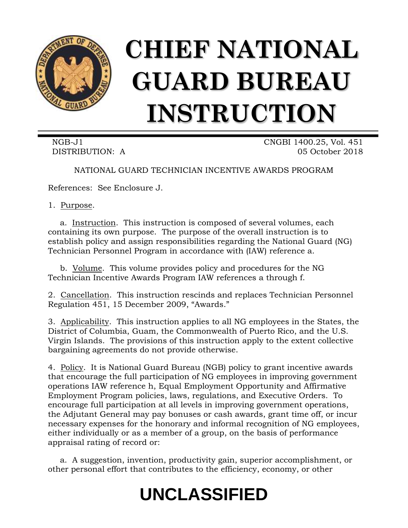

# **CHIEF NATIONAL GUARD BUREAU INSTRUCTION**

NGB-J1 CNGBI 1400.25, Vol. 451 DISTRIBUTION: A 05 October 2018

NATIONAL GUARD TECHNICIAN INCENTIVE AWARDS PROGRAM

References: See Enclosure J.

1. Purpose.

a. Instruction. This instruction is composed of several volumes, each containing its own purpose. The purpose of the overall instruction is to establish policy and assign responsibilities regarding the National Guard (NG) Technician Personnel Program in accordance with (IAW) reference a.

b. Volume. This volume provides policy and procedures for the NG Technician Incentive Awards Program IAW references a through f.

2. Cancellation. This instruction rescinds and replaces Technician Personnel Regulation 451, 15 December 2009, "Awards."

3. Applicability. This instruction applies to all NG employees in the States, the District of Columbia, Guam, the Commonwealth of Puerto Rico, and the U.S. Virgin Islands. The provisions of this instruction apply to the extent collective bargaining agreements do not provide otherwise.

4. Policy. It is National Guard Bureau (NGB) policy to grant incentive awards that encourage the full participation of NG employees in improving government operations IAW reference h, Equal Employment Opportunity and Affirmative Employment Program policies, laws, regulations, and Executive Orders. To encourage full participation at all levels in improving government operations, the Adjutant General may pay bonuses or cash awards, grant time off, or incur necessary expenses for the honorary and informal recognition of NG employees, either individually or as a member of a group, on the basis of performance appraisal rating of record or:

a. A suggestion, invention, productivity gain, superior accomplishment, or other personal effort that contributes to the efficiency, economy, or other

# **UNCLASSIFIED**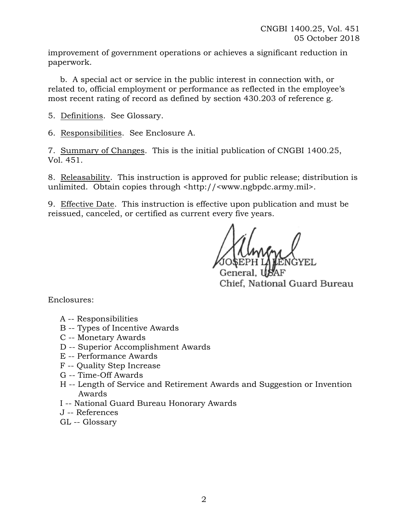improvement of government operations or achieves a significant reduction in paperwork.

b. A special act or service in the public interest in connection with, or related to, official employment or performance as reflected in the employee's most recent rating of record as defined by section 430.203 of reference g.

5. Definitions. See Glossary.

6. Responsibilities. See Enclosure A.

7. Summary of Changes. This is the initial publication of CNGBI 1400.25, Vol. 451.

8. Releasability. This instruction is approved for public release; distribution is unlimited. Obtain copies through <http://<www.ngbpdc.army.mil>.

9. Effective Date. This instruction is effective upon publication and must be reissued, canceled, or certified as current every five years.

Chief, National Guard Bureau

Enclosures:

- A -- Responsibilities
- B -- Types of Incentive Awards
- C -- Monetary Awards
- D -- Superior Accomplishment Awards
- E -- Performance Awards
- F -- Quality Step Increase
- G -- Time-Off Awards
- H -- Length of Service and Retirement Awards and Suggestion or Invention Awards
- I -- National Guard Bureau Honorary Awards
- J -- References
- GL -- Glossary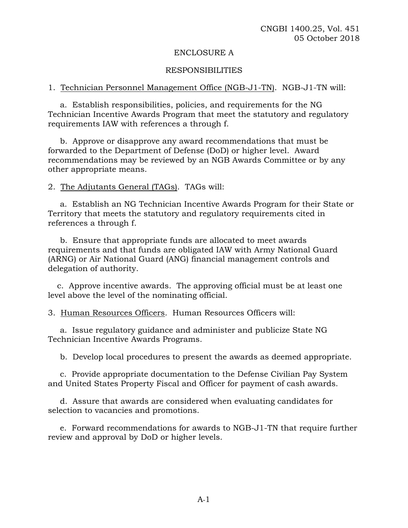#### ENCLOSURE A

#### RESPONSIBILITIES

#### 1. Technician Personnel Management Office (NGB-J1-TN). NGB-J1-TN will:

a. Establish responsibilities, policies, and requirements for the NG Technician Incentive Awards Program that meet the statutory and regulatory requirements IAW with references a through f.

b. Approve or disapprove any award recommendations that must be forwarded to the Department of Defense (DoD) or higher level. Award recommendations may be reviewed by an NGB Awards Committee or by any other appropriate means.

2. The Adjutants General (TAGs). TAGs will:

a. Establish an NG Technician Incentive Awards Program for their State or Territory that meets the statutory and regulatory requirements cited in references a through f.

b. Ensure that appropriate funds are allocated to meet awards requirements and that funds are obligated IAW with Army National Guard (ARNG) or Air National Guard (ANG) financial management controls and delegation of authority.

c. Approve incentive awards. The approving official must be at least one level above the level of the nominating official.

3. Human Resources Officers. Human Resources Officers will:

a. Issue regulatory guidance and administer and publicize State NG Technician Incentive Awards Programs.

b. Develop local procedures to present the awards as deemed appropriate.

c. Provide appropriate documentation to the Defense Civilian Pay System and United States Property Fiscal and Officer for payment of cash awards.

d. Assure that awards are considered when evaluating candidates for selection to vacancies and promotions.

e. Forward recommendations for awards to NGB-J1-TN that require further review and approval by DoD or higher levels.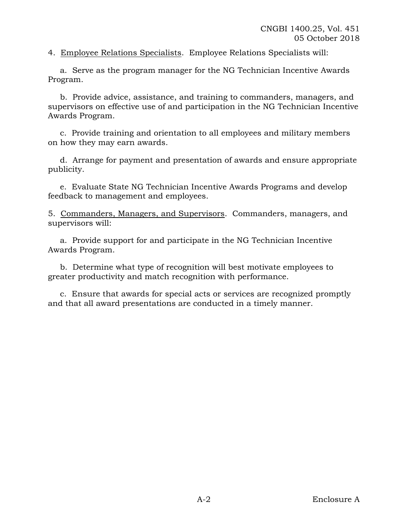4. Employee Relations Specialists. Employee Relations Specialists will:

a. Serve as the program manager for the NG Technician Incentive Awards Program.

b. Provide advice, assistance, and training to commanders, managers, and supervisors on effective use of and participation in the NG Technician Incentive Awards Program.

c. Provide training and orientation to all employees and military members on how they may earn awards.

d. Arrange for payment and presentation of awards and ensure appropriate publicity.

e. Evaluate State NG Technician Incentive Awards Programs and develop feedback to management and employees.

5. Commanders, Managers, and Supervisors. Commanders, managers, and supervisors will:

a. Provide support for and participate in the NG Technician Incentive Awards Program.

b. Determine what type of recognition will best motivate employees to greater productivity and match recognition with performance.

c. Ensure that awards for special acts or services are recognized promptly and that all award presentations are conducted in a timely manner.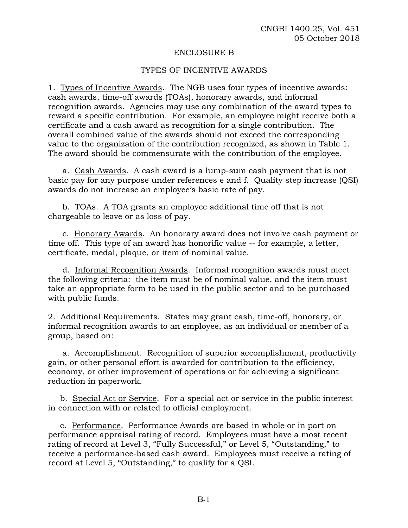#### ENCLOSURE B

#### TYPES OF INCENTIVE AWARDS

1. Types of Incentive Awards. The NGB uses four types of incentive awards: cash awards, time-off awards (TOAs), honorary awards, and informal recognition awards. Agencies may use any combination of the award types to reward a specific contribution. For example, an employee might receive both a certificate and a cash award as recognition for a single contribution. The overall combined value of the awards should not exceed the corresponding value to the organization of the contribution recognized, as shown in Table 1. The award should be commensurate with the contribution of the employee.

a. Cash Awards. A cash award is a lump-sum cash payment that is not basic pay for any purpose under references e and f. Quality step increase (QSI) awards do not increase an employee's basic rate of pay.

b. TOAs. A TOA grants an employee additional time off that is not chargeable to leave or as loss of pay.

c. Honorary Awards. An honorary award does not involve cash payment or time off. This type of an award has honorific value -- for example, a letter, certificate, medal, plaque, or item of nominal value.

d. Informal Recognition Awards. Informal recognition awards must meet the following criteria: the item must be of nominal value, and the item must take an appropriate form to be used in the public sector and to be purchased with public funds.

2. Additional Requirements. States may grant cash, time-off, honorary, or informal recognition awards to an employee, as an individual or member of a group, based on:

a. Accomplishment. Recognition of superior accomplishment, productivity gain, or other personal effort is awarded for contribution to the efficiency, economy, or other improvement of operations or for achieving a significant reduction in paperwork.

b. Special Act or Service. For a special act or service in the public interest in connection with or related to official employment.

c. Performance. Performance Awards are based in whole or in part on performance appraisal rating of record. Employees must have a most recent rating of record at Level 3, "Fully Successful," or Level 5, "Outstanding," to receive a performance-based cash award. Employees must receive a rating of record at Level 5, "Outstanding," to qualify for a QSI.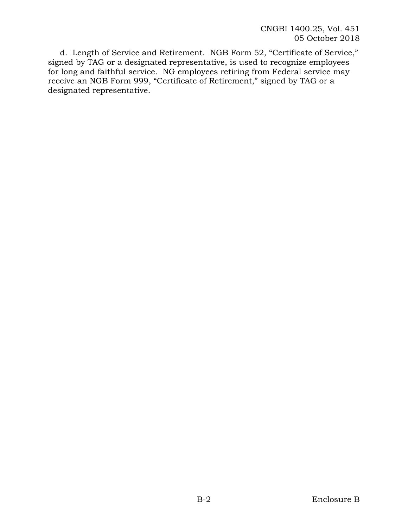d. Length of Service and Retirement. NGB Form 52, "Certificate of Service," signed by TAG or a designated representative, is used to recognize employees for long and faithful service. NG employees retiring from Federal service may receive an NGB Form 999, "Certificate of Retirement," signed by TAG or a designated representative.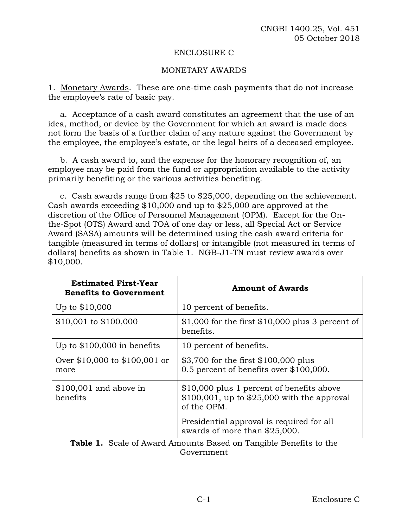#### ENCLOSURE C

# MONETARY AWARDS

1. Monetary Awards. These are one-time cash payments that do not increase the employee's rate of basic pay.

a. Acceptance of a cash award constitutes an agreement that the use of an idea, method, or device by the Government for which an award is made does not form the basis of a further claim of any nature against the Government by the employee, the employee's estate, or the legal heirs of a deceased employee.

b. A cash award to, and the expense for the honorary recognition of, an employee may be paid from the fund or appropriation available to the activity primarily benefiting or the various activities benefiting.

c. Cash awards range from \$25 to \$25,000, depending on the achievement. Cash awards exceeding \$10,000 and up to \$25,000 are approved at the discretion of the Office of Personnel Management (OPM). Except for the Onthe-Spot (OTS) Award and TOA of one day or less, all Special Act or Service Award (SASA) amounts will be determined using the cash award criteria for tangible (measured in terms of dollars) or intangible (not measured in terms of dollars) benefits as shown in Table 1. NGB-J1-TN must review awards over \$10,000.

| <b>Estimated First-Year</b><br><b>Benefits to Government</b>  | <b>Amount of Awards</b>                                                                                                                                                  |  |
|---------------------------------------------------------------|--------------------------------------------------------------------------------------------------------------------------------------------------------------------------|--|
| Up to $$10,000$                                               | 10 percent of benefits.                                                                                                                                                  |  |
| $$10,001$ to $$100,000$                                       | $$1,000$ for the first $$10,000$ plus 3 percent of<br>benefits.                                                                                                          |  |
| Up to $$100,000$ in benefits                                  | 10 percent of benefits.                                                                                                                                                  |  |
| Over \$10,000 to \$100,001 or<br>more                         | \$3,700 for the first \$100,000 plus<br>0.5 percent of benefits over \$100,000.                                                                                          |  |
| $$100,001$ and above in<br>benefits                           | \$10,000 plus 1 percent of benefits above<br>$$100,001$ , up to $$25,000$ with the approval<br>of the OPM.                                                               |  |
| $\sim$ $\sim$<br>$\sim$ 1<br>$\mathbf{1}$ $\mathbf{A}$<br>--- | Presidential approval is required for all<br>awards of more than \$25,000.<br>$\mathbf{H}$ and $\mathbf{H}$ and $\mathbf{H}$ and $\mathbf{H}$<br>$\sqrt{2}$ 1 $\sqrt{2}$ |  |

**Table 1.** Scale of Award Amounts Based on Tangible Benefits to the Government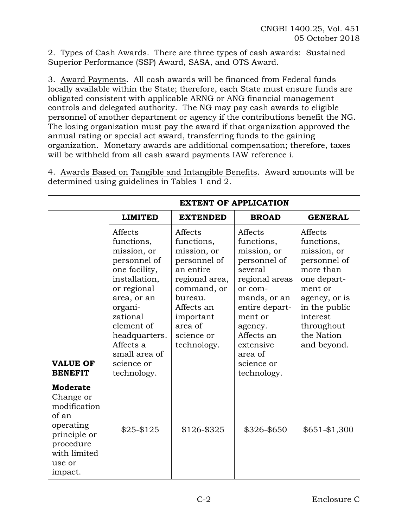2. Types of Cash Awards. There are three types of cash awards: Sustained Superior Performance (SSP) Award, SASA, and OTS Award.

3. Award Payments. All cash awards will be financed from Federal funds locally available within the State; therefore, each State must ensure funds are obligated consistent with applicable ARNG or ANG financial management controls and delegated authority. The NG may pay cash awards to eligible personnel of another department or agency if the contributions benefit the NG. The losing organization must pay the award if that organization approved the annual rating or special act award, transferring funds to the gaining organization. Monetary awards are additional compensation; therefore, taxes will be withheld from all cash award payments IAW reference i.

**EXTENT OF APPLICATION LIMITED EXTENDED BROAD GENERAL VALUE OF BENEFIT** Affects functions, mission, or personnel of one facility, installation, or regional area, or an organizational element of headquarters. Affects a small area of science or technology. Affects functions, mission, or personnel of an entire regional area, command, or bureau. Affects an important area of science or technology. Affects functions, mission, or personnel of several regional areas or commands, or an entire department or agency. Affects an extensive area of science or technology. Affects functions, mission, or personnel of more than one department or agency, or is in the public interest throughout the Nation and beyond. **Moderate** Change or modification of an operating principle or procedure with limited use or impact.  $$25-\$125$  |  $$126-\$325$  |  $$326-\$650$  |  $$651-\$1,300$ 

4. Awards Based on Tangible and Intangible Benefits. Award amounts will be determined using guidelines in Tables 1 and 2.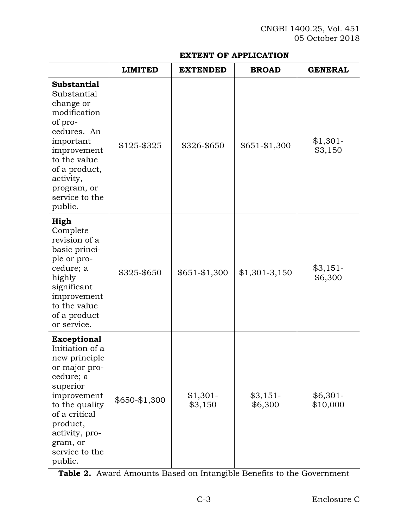|                                                                                                                                                                                                                           | <b>EXTENT OF APPLICATION</b> |                      |                      |                       |  |
|---------------------------------------------------------------------------------------------------------------------------------------------------------------------------------------------------------------------------|------------------------------|----------------------|----------------------|-----------------------|--|
|                                                                                                                                                                                                                           | <b>LIMITED</b>               | <b>EXTENDED</b>      | <b>BROAD</b>         | <b>GENERAL</b>        |  |
| <b>Substantial</b><br>Substantial<br>change or<br>modification<br>of pro-<br>cedures. An<br>important<br>improvement<br>to the value<br>of a product,<br>activity,<br>program, or<br>service to the<br>public.            | $$125 - $325$                | \$326-\$650          | $$651 - $1,300$      | $$1,301-$<br>\$3,150  |  |
| High<br>Complete<br>revision of a<br>basic princi-<br>ple or pro-<br>cedure; a<br>highly<br>significant<br>improvement<br>to the value<br>of a product<br>or service.                                                     | \$325-\$650                  | $$651 - $1,300$      | $$1,301-3,150$       | $$3,151-$<br>\$6,300  |  |
| <b>Exceptional</b><br>Initiation of a<br>new principle<br>or major pro-<br>cedure; a<br>superior<br>improvement<br>to the quality<br>of a critical<br>product,<br>activity, pro-<br>gram, or<br>service to the<br>public. | \$650-\$1,300                | $$1,301-$<br>\$3,150 | $$3,151-$<br>\$6,300 | $$6,301-$<br>\$10,000 |  |

**Table 2.** Award Amounts Based on Intangible Benefits to the Government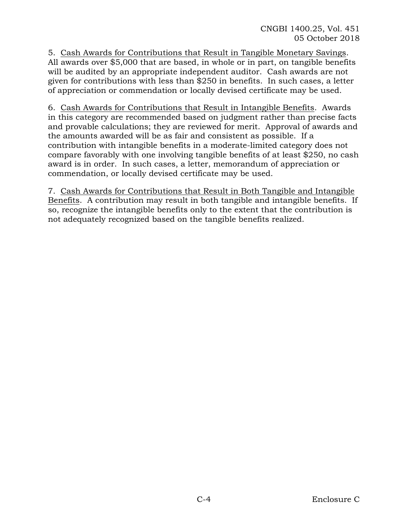5. Cash Awards for Contributions that Result in Tangible Monetary Savings. All awards over \$5,000 that are based, in whole or in part, on tangible benefits will be audited by an appropriate independent auditor. Cash awards are not given for contributions with less than \$250 in benefits. In such cases, a letter of appreciation or commendation or locally devised certificate may be used.

6. Cash Awards for Contributions that Result in Intangible Benefits. Awards in this category are recommended based on judgment rather than precise facts and provable calculations; they are reviewed for merit. Approval of awards and the amounts awarded will be as fair and consistent as possible. If a contribution with intangible benefits in a moderate-limited category does not compare favorably with one involving tangible benefits of at least \$250, no cash award is in order. In such cases, a letter, memorandum of appreciation or commendation, or locally devised certificate may be used.

7. Cash Awards for Contributions that Result in Both Tangible and Intangible Benefits. A contribution may result in both tangible and intangible benefits. If so, recognize the intangible benefits only to the extent that the contribution is not adequately recognized based on the tangible benefits realized.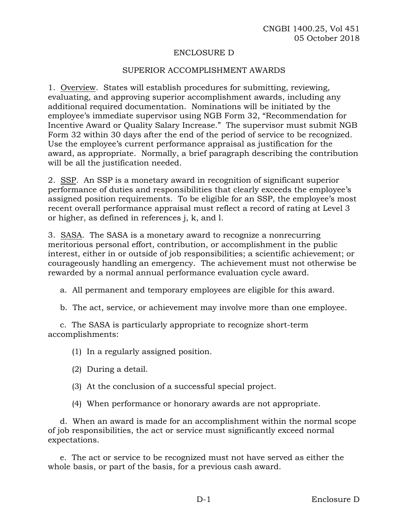### ENCLOSURE D

#### SUPERIOR ACCOMPLISHMENT AWARDS

1. Overview. States will establish procedures for submitting, reviewing, evaluating, and approving superior accomplishment awards, including any additional required documentation. Nominations will be initiated by the employee's immediate supervisor using NGB Form 32, "Recommendation for Incentive Award or Quality Salary Increase." The supervisor must submit NGB Form 32 within 30 days after the end of the period of service to be recognized. Use the employee's current performance appraisal as justification for the award, as appropriate. Normally, a brief paragraph describing the contribution will be all the justification needed.

2. SSP. An SSP is a monetary award in recognition of significant superior performance of duties and responsibilities that clearly exceeds the employee's assigned position requirements. To be eligible for an SSP, the employee's most recent overall performance appraisal must reflect a record of rating at Level 3 or higher, as defined in references j, k, and l.

3. SASA. The SASA is a monetary award to recognize a nonrecurring meritorious personal effort, contribution, or accomplishment in the public interest, either in or outside of job responsibilities; a scientific achievement; or courageously handling an emergency. The achievement must not otherwise be rewarded by a normal annual performance evaluation cycle award.

a. All permanent and temporary employees are eligible for this award.

b. The act, service, or achievement may involve more than one employee.

c. The SASA is particularly appropriate to recognize short-term accomplishments:

(1) In a regularly assigned position.

- (2) During a detail.
- (3) At the conclusion of a successful special project.
- (4) When performance or honorary awards are not appropriate.

d. When an award is made for an accomplishment within the normal scope of job responsibilities, the act or service must significantly exceed normal expectations.

e. The act or service to be recognized must not have served as either the whole basis, or part of the basis, for a previous cash award.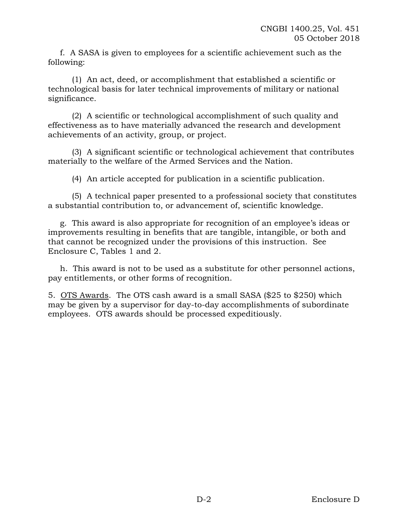f. A SASA is given to employees for a scientific achievement such as the following:

(1) An act, deed, or accomplishment that established a scientific or technological basis for later technical improvements of military or national significance.

(2) A scientific or technological accomplishment of such quality and effectiveness as to have materially advanced the research and development achievements of an activity, group, or project.

(3) A significant scientific or technological achievement that contributes materially to the welfare of the Armed Services and the Nation.

(4) An article accepted for publication in a scientific publication.

(5) A technical paper presented to a professional society that constitutes a substantial contribution to, or advancement of, scientific knowledge.

g. This award is also appropriate for recognition of an employee's ideas or improvements resulting in benefits that are tangible, intangible, or both and that cannot be recognized under the provisions of this instruction. See Enclosure C, Tables 1 and 2.

h. This award is not to be used as a substitute for other personnel actions, pay entitlements, or other forms of recognition.

5. OTS Awards. The OTS cash award is a small SASA (\$25 to \$250) which may be given by a supervisor for day-to-day accomplishments of subordinate employees. OTS awards should be processed expeditiously.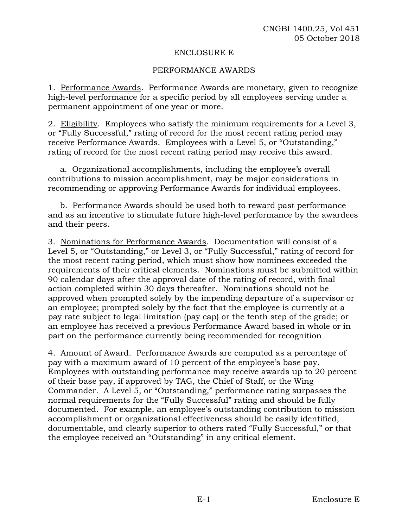#### ENCLOSURE E

# PERFORMANCE AWARDS

1. Performance Awards. Performance Awards are monetary, given to recognize high-level performance for a specific period by all employees serving under a permanent appointment of one year or more.

2. Eligibility. Employees who satisfy the minimum requirements for a Level 3, or "Fully Successful," rating of record for the most recent rating period may receive Performance Awards. Employees with a Level 5, or "Outstanding," rating of record for the most recent rating period may receive this award.

a. Organizational accomplishments, including the employee's overall contributions to mission accomplishment, may be major considerations in recommending or approving Performance Awards for individual employees.

b. Performance Awards should be used both to reward past performance and as an incentive to stimulate future high-level performance by the awardees and their peers.

3. Nominations for Performance Awards. Documentation will consist of a Level 5, or "Outstanding," or Level 3, or "Fully Successful," rating of record for the most recent rating period, which must show how nominees exceeded the requirements of their critical elements. Nominations must be submitted within 90 calendar days after the approval date of the rating of record, with final action completed within 30 days thereafter. Nominations should not be approved when prompted solely by the impending departure of a supervisor or an employee; prompted solely by the fact that the employee is currently at a pay rate subject to legal limitation (pay cap) or the tenth step of the grade; or an employee has received a previous Performance Award based in whole or in part on the performance currently being recommended for recognition

4. Amount of Award. Performance Awards are computed as a percentage of pay with a maximum award of 10 percent of the employee's base pay. Employees with outstanding performance may receive awards up to 20 percent of their base pay, if approved by TAG, the Chief of Staff, or the Wing Commander. A Level 5, or "Outstanding," performance rating surpasses the normal requirements for the "Fully Successful" rating and should be fully documented. For example, an employee's outstanding contribution to mission accomplishment or organizational effectiveness should be easily identified, documentable, and clearly superior to others rated "Fully Successful," or that the employee received an "Outstanding" in any critical element.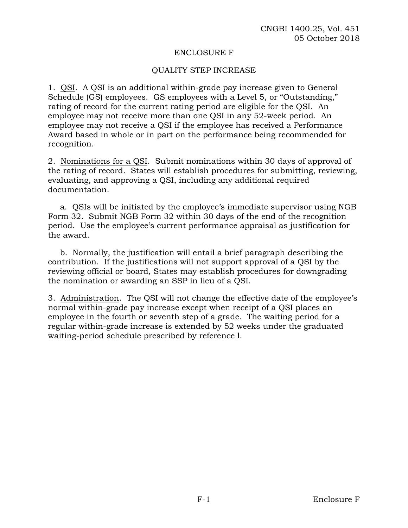#### ENCLOSURE F

### QUALITY STEP INCREASE

1. QSI. A QSI is an additional within-grade pay increase given to General Schedule (GS) employees. GS employees with a Level 5, or "Outstanding," rating of record for the current rating period are eligible for the QSI. An employee may not receive more than one QSI in any 52-week period. An employee may not receive a QSI if the employee has received a Performance Award based in whole or in part on the performance being recommended for recognition.

2. Nominations for a QSI. Submit nominations within 30 days of approval of the rating of record. States will establish procedures for submitting, reviewing, evaluating, and approving a QSI, including any additional required documentation.

a. QSIs will be initiated by the employee's immediate supervisor using NGB Form 32. Submit NGB Form 32 within 30 days of the end of the recognition period. Use the employee's current performance appraisal as justification for the award.

b. Normally, the justification will entail a brief paragraph describing the contribution. If the justifications will not support approval of a QSI by the reviewing official or board, States may establish procedures for downgrading the nomination or awarding an SSP in lieu of a QSI.

3. Administration. The QSI will not change the effective date of the employee's normal within-grade pay increase except when receipt of a QSI places an employee in the fourth or seventh step of a grade. The waiting period for a regular within-grade increase is extended by 52 weeks under the graduated waiting-period schedule prescribed by reference l.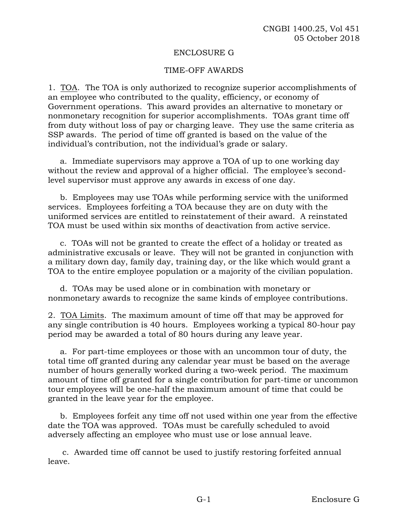#### ENCLOSURE G

#### TIME-OFF AWARDS

1. TOA.The TOA is only authorized to recognize superior accomplishments of an employee who contributed to the quality, efficiency, or economy of Government operations. This award provides an alternative to monetary or nonmonetary recognition for superior accomplishments. TOAs grant time off from duty without loss of pay or charging leave. They use the same criteria as SSP awards. The period of time off granted is based on the value of the individual's contribution, not the individual's grade or salary.

a. Immediate supervisors may approve a TOA of up to one working day without the review and approval of a higher official. The employee's secondlevel supervisor must approve any awards in excess of one day.

b. Employees may use TOAs while performing service with the uniformed services. Employees forfeiting a TOA because they are on duty with the uniformed services are entitled to reinstatement of their award. A reinstated TOA must be used within six months of deactivation from active service.

c. TOAs will not be granted to create the effect of a holiday or treated as administrative excusals or leave. They will not be granted in conjunction with a military down day, family day, training day, or the like which would grant a TOA to the entire employee population or a majority of the civilian population.

d. TOAs may be used alone or in combination with monetary or nonmonetary awards to recognize the same kinds of employee contributions.

2. TOA Limits. The maximum amount of time off that may be approved for any single contribution is 40 hours. Employees working a typical 80-hour pay period may be awarded a total of 80 hours during any leave year.

a. For part-time employees or those with an uncommon tour of duty, the total time off granted during any calendar year must be based on the average number of hours generally worked during a two-week period. The maximum amount of time off granted for a single contribution for part-time or uncommon tour employees will be one-half the maximum amount of time that could be granted in the leave year for the employee.

b. Employees forfeit any time off not used within one year from the effective date the TOA was approved. TOAs must be carefully scheduled to avoid adversely affecting an employee who must use or lose annual leave.

c. Awarded time off cannot be used to justify restoring forfeited annual leave.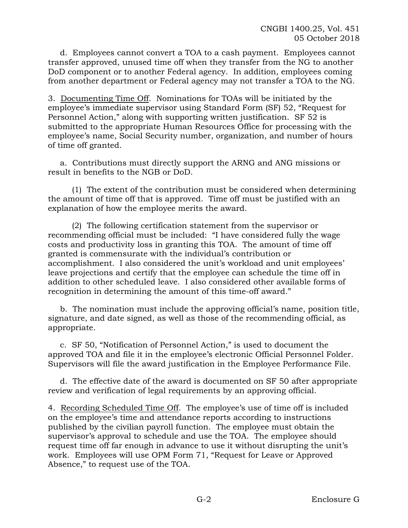d. Employees cannot convert a TOA to a cash payment. Employees cannot transfer approved, unused time off when they transfer from the NG to another DoD component or to another Federal agency. In addition, employees coming from another department or Federal agency may not transfer a TOA to the NG.

3. Documenting Time Off. Nominations for TOAs will be initiated by the employee's immediate supervisor using Standard Form (SF) 52, "Request for Personnel Action," along with supporting written justification. SF 52 is submitted to the appropriate Human Resources Office for processing with the employee's name, Social Security number, organization, and number of hours of time off granted.

a. Contributions must directly support the ARNG and ANG missions or result in benefits to the NGB or DoD.

(1) The extent of the contribution must be considered when determining the amount of time off that is approved. Time off must be justified with an explanation of how the employee merits the award.

(2) The following certification statement from the supervisor or recommending official must be included: "I have considered fully the wage costs and productivity loss in granting this TOA. The amount of time off granted is commensurate with the individual's contribution or accomplishment. I also considered the unit's workload and unit employees' leave projections and certify that the employee can schedule the time off in addition to other scheduled leave. I also considered other available forms of recognition in determining the amount of this time-off award."

b. The nomination must include the approving official's name, position title, signature, and date signed, as well as those of the recommending official, as appropriate.

c. SF 50, "Notification of Personnel Action," is used to document the approved TOA and file it in the employee's electronic Official Personnel Folder. Supervisors will file the award justification in the Employee Performance File.

d. The effective date of the award is documented on SF 50 after appropriate review and verification of legal requirements by an approving official.

4. Recording Scheduled Time Off. The employee's use of time off is included on the employee's time and attendance reports according to instructions published by the civilian payroll function. The employee must obtain the supervisor's approval to schedule and use the TOA. The employee should request time off far enough in advance to use it without disrupting the unit's work. Employees will use OPM Form 71, "Request for Leave or Approved Absence," to request use of the TOA.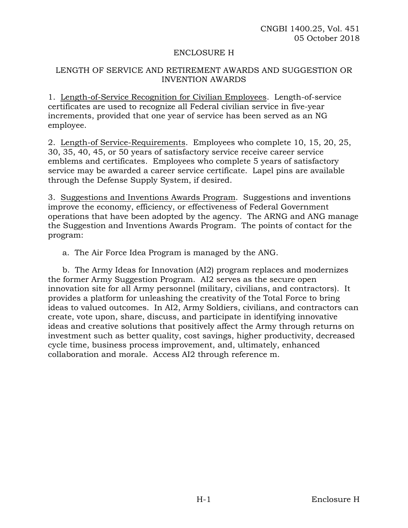#### ENCLOSURE H

# LENGTH OF SERVICE AND RETIREMENT AWARDS AND SUGGESTION OR INVENTION AWARDS

1. Length-of-Service Recognition for Civilian Employees. Length-of-service certificates are used to recognize all Federal civilian service in five-year increments, provided that one year of service has been served as an NG employee.

2. Length-of Service-Requirements. Employees who complete 10, 15, 20, 25, 30, 35, 40, 45, or 50 years of satisfactory service receive career service emblems and certificates. Employees who complete 5 years of satisfactory service may be awarded a career service certificate. Lapel pins are available through the Defense Supply System, if desired.

3. Suggestions and Inventions Awards Program. Suggestions and inventions improve the economy, efficiency, or effectiveness of Federal Government operations that have been adopted by the agency. The ARNG and ANG manage the Suggestion and Inventions Awards Program. The points of contact for the program:

a. The Air Force Idea Program is managed by the ANG.

b. The Army Ideas for Innovation (AI2) program replaces and modernizes the former Army Suggestion Program. AI2 serves as the secure open innovation site for all Army personnel (military, civilians, and contractors). It provides a platform for unleashing the creativity of the Total Force to bring ideas to valued outcomes. In AI2, Army Soldiers, civilians, and contractors can create, vote upon, share, discuss, and participate in identifying innovative ideas and creative solutions that positively affect the Army through returns on investment such as better quality, cost savings, higher productivity, decreased cycle time, business process improvement, and, ultimately, enhanced collaboration and morale. Access AI2 through reference m.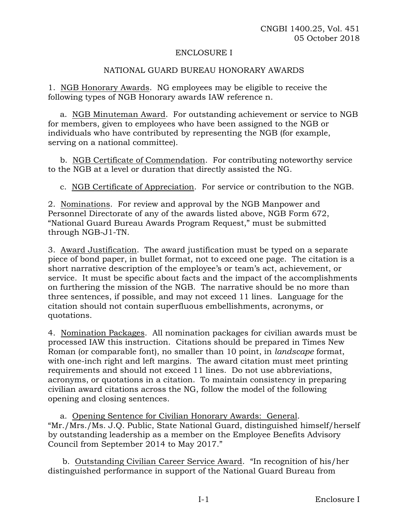#### ENCLOSURE I

# NATIONAL GUARD BUREAU HONORARY AWARDS

1. NGB Honorary Awards. NG employees may be eligible to receive the following types of NGB Honorary awards IAW reference n.

a. NGB Minuteman Award. For outstanding achievement or service to NGB for members, given to employees who have been assigned to the NGB or individuals who have contributed by representing the NGB (for example, serving on a national committee).

b. NGB Certificate of Commendation. For contributing noteworthy service to the NGB at a level or duration that directly assisted the NG.

c. NGB Certificate of Appreciation. For service or contribution to the NGB.

2. Nominations. For review and approval by the NGB Manpower and Personnel Directorate of any of the awards listed above, NGB Form 672, "National Guard Bureau Awards Program Request," must be submitted through NGB-J1-TN.

3. Award Justification. The award justification must be typed on a separate piece of bond paper, in bullet format, not to exceed one page. The citation is a short narrative description of the employee's or team's act, achievement, or service. It must be specific about facts and the impact of the accomplishments on furthering the mission of the NGB. The narrative should be no more than three sentences, if possible, and may not exceed 11 lines. Language for the citation should not contain superfluous embellishments, acronyms, or quotations.

4. Nomination Packages. All nomination packages for civilian awards must be processed IAW this instruction. Citations should be prepared in Times New Roman (or comparable font), no smaller than 10 point, in *landscape* format, with one-inch right and left margins. The award citation must meet printing requirements and should not exceed 11 lines. Do not use abbreviations, acronyms, or quotations in a citation. To maintain consistency in preparing civilian award citations across the NG, follow the model of the following opening and closing sentences.

a. Opening Sentence for Civilian Honorary Awards: General. "Mr./Mrs./Ms. J.Q. Public, State National Guard, distinguished himself/herself by outstanding leadership as a member on the Employee Benefits Advisory Council from September 2014 to May 2017."

b. Outstanding Civilian Career Service Award. "In recognition of his/her distinguished performance in support of the National Guard Bureau from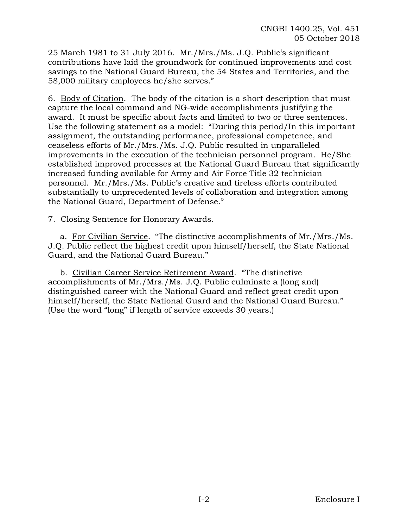25 March 1981 to 31 July 2016. Mr./Mrs./Ms. J.Q. Public's significant contributions have laid the groundwork for continued improvements and cost savings to the National Guard Bureau, the 54 States and Territories, and the 58,000 military employees he/she serves."

6. Body of Citation.The body of the citation is a short description that must capture the local command and NG-wide accomplishments justifying the award. It must be specific about facts and limited to two or three sentences. Use the following statement as a model: "During this period/In this important assignment, the outstanding performance, professional competence, and ceaseless efforts of Mr./Mrs./Ms. J.Q. Public resulted in unparalleled improvements in the execution of the technician personnel program. He/She established improved processes at the National Guard Bureau that significantly increased funding available for Army and Air Force Title 32 technician personnel. Mr./Mrs./Ms. Public's creative and tireless efforts contributed substantially to unprecedented levels of collaboration and integration among the National Guard, Department of Defense."

# 7. Closing Sentence for Honorary Awards.

a. For Civilian Service. "The distinctive accomplishments of Mr./Mrs./Ms. J.Q. Public reflect the highest credit upon himself/herself, the State National Guard, and the National Guard Bureau."

b. Civilian Career Service Retirement Award. "The distinctive accomplishments of Mr./Mrs./Ms. J.Q. Public culminate a (long and) distinguished career with the National Guard and reflect great credit upon himself/herself, the State National Guard and the National Guard Bureau." (Use the word "long" if length of service exceeds 30 years.)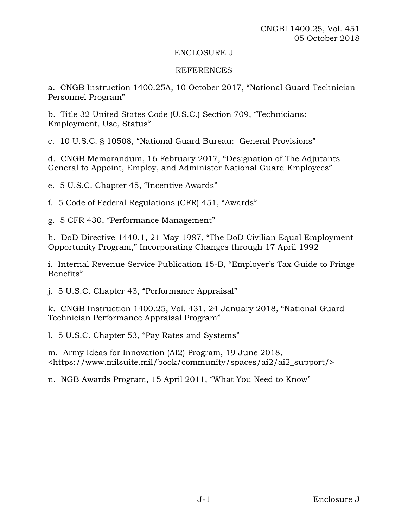#### ENCLOSURE J

#### REFERENCES

a. CNGB Instruction 1400.25A, 10 October 2017, "National Guard Technician Personnel Program"

b. Title 32 United States Code (U.S.C.) Section 709, "Technicians: Employment, Use, Status"

c. 10 U.S.C. § 10508, "National Guard Bureau: General Provisions"

d. CNGB Memorandum, 16 February 2017, "Designation of The Adjutants General to Appoint, Employ, and Administer National Guard Employees"

e. 5 U.S.C. Chapter 45, "Incentive Awards"

f. 5 Code of Federal Regulations (CFR) 451, "Awards"

g. 5 CFR 430, "Performance Management"

h. DoD Directive 1440.1, 21 May 1987, "The DoD Civilian Equal Employment Opportunity Program," Incorporating Changes through 17 April 1992

i. Internal Revenue Service Publication 15-B, "Employer's Tax Guide to Fringe Benefits"

j. 5 U.S.C. Chapter 43, "Performance Appraisal"

k. CNGB Instruction 1400.25, Vol. 431, 24 January 2018, "National Guard Technician Performance Appraisal Program"

l. 5 U.S.C. Chapter 53, "Pay Rates and Systems"

m. Army Ideas for Innovation (AI2) Program, 19 June 2018, <https://www.milsuite.mil/book/community/spaces/ai2/ai2\_support/>

n. NGB Awards Program, 15 April 2011, "What You Need to Know"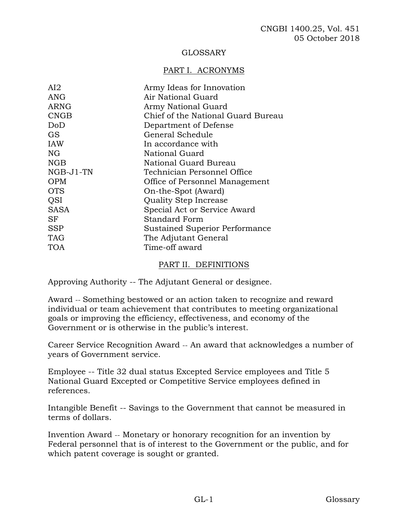# GLOSSARY

# PART I. ACRONYMS

| AI2         | Army Ideas for Innovation          |
|-------------|------------------------------------|
| ANG         | Air National Guard                 |
| ARNG        | Army National Guard                |
| <b>CNGB</b> | Chief of the National Guard Bureau |
| DoD         | Department of Defense              |
| <b>GS</b>   | General Schedule                   |
| <b>IAW</b>  | In accordance with                 |
| NG          | National Guard                     |
| NGB         | National Guard Bureau              |
| NGB-J1-TN   | Technician Personnel Office        |
| <b>OPM</b>  | Office of Personnel Management     |
| <b>OTS</b>  | On-the-Spot (Award)                |
| <b>OSI</b>  | Quality Step Increase              |
| <b>SASA</b> | Special Act or Service Award       |
| SF          | <b>Standard Form</b>               |
| <b>SSP</b>  | Sustained Superior Performance     |
| <b>TAG</b>  | The Adjutant General               |
| TOA         | Time-off award                     |
|             |                                    |

#### PART II. DEFINITIONS

Approving Authority -- The Adjutant General or designee.

Award -- Something bestowed or an action taken to recognize and reward individual or team achievement that contributes to meeting organizational goals or improving the efficiency, effectiveness, and economy of the Government or is otherwise in the public's interest.

Career Service Recognition Award -- An award that acknowledges a number of years of Government service.

Employee -- Title 32 dual status Excepted Service employees and Title 5 National Guard Excepted or Competitive Service employees defined in references.

Intangible Benefit -- Savings to the Government that cannot be measured in terms of dollars.

Invention Award -- Monetary or honorary recognition for an invention by Federal personnel that is of interest to the Government or the public, and for which patent coverage is sought or granted.